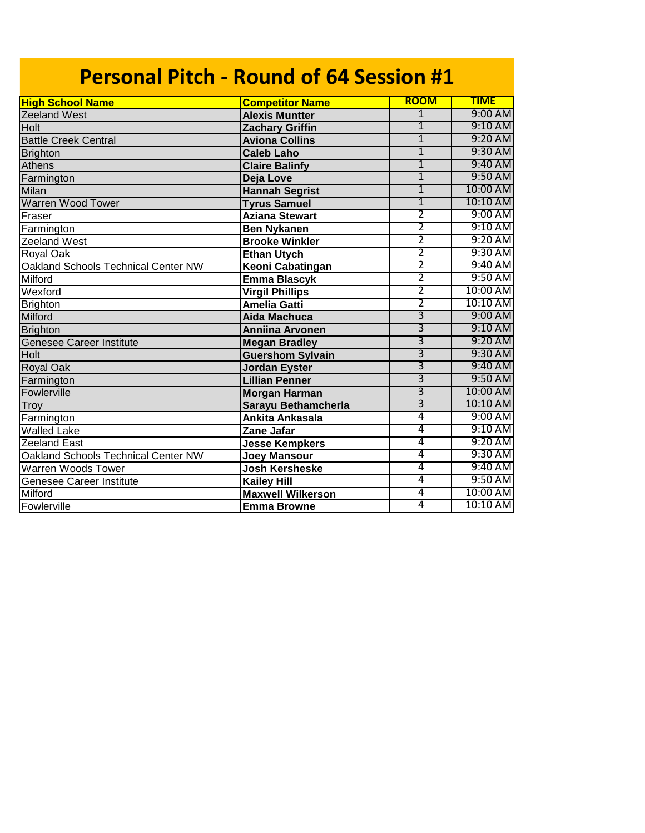| <b>Personal Pitch - Round of 64 Session #1</b> |                          |                |             |  |
|------------------------------------------------|--------------------------|----------------|-------------|--|
| <b>High School Name</b>                        | <b>Competitor Name</b>   | <b>ROOM</b>    | <b>TIME</b> |  |
| <b>Zeeland West</b>                            | <b>Alexis Muntter</b>    | $\overline{1}$ | 9:00 AM     |  |
| Holt                                           | <b>Zachary Griffin</b>   | $\overline{1}$ | 9:10 AM     |  |
| <b>Battle Creek Central</b>                    | <b>Aviona Collins</b>    | $\overline{1}$ | 9:20 AM     |  |
| <b>Brighton</b>                                | <b>Caleb Laho</b>        | $\overline{1}$ | 9:30 AM     |  |
| Athens                                         | <b>Claire Balinfy</b>    | $\overline{1}$ | 9:40 AM     |  |
| Farmington                                     | Deja Love                | $\overline{1}$ | 9:50 AM     |  |
| <b>Milan</b>                                   | <b>Hannah Segrist</b>    | $\overline{1}$ | 10:00 AM    |  |
| Warren Wood Tower                              | <b>Tyrus Samuel</b>      | $\overline{1}$ | 10:10 AM    |  |
| Fraser                                         | <b>Aziana Stewart</b>    | $\overline{2}$ | 9:00 AM     |  |
| Farmington                                     | <b>Ben Nykanen</b>       | $\overline{2}$ | 9:10 AM     |  |
| Zeeland West                                   | <b>Brooke Winkler</b>    | 2              | 9:20 AM     |  |
| Royal Oak                                      | <b>Ethan Utych</b>       | 2              | 9:30 AM     |  |
| Oakland Schools Technical Center NW            | Keoni Cabatingan         | $\overline{2}$ | 9:40 AM     |  |
| Milford                                        | <b>Emma Blascyk</b>      | 2              | 9:50 AM     |  |
| Wexford                                        | <b>Virgil Phillips</b>   | $\overline{2}$ | 10:00 AM    |  |
| <b>Brighton</b>                                | <b>Amelia Gatti</b>      | $\overline{2}$ | 10:10 AM    |  |
| Milford                                        | <b>Aida Machuca</b>      | 3              | 9:00 AM     |  |
| <b>Brighton</b>                                | <b>Anniina Arvonen</b>   | $\overline{3}$ | 9:10 AM     |  |
| <b>Genesee Career Institute</b>                | <b>Megan Bradley</b>     | $\overline{3}$ | 9:20 AM     |  |
| Holt                                           | <b>Guershom Sylvain</b>  | $\overline{3}$ | 9:30 AM     |  |
| <b>Royal Oak</b>                               | <b>Jordan Eyster</b>     | $\overline{3}$ | 9:40 AM     |  |
| Farmington                                     | <b>Lillian Penner</b>    | $\overline{3}$ | 9:50 AM     |  |
| Fowlerville                                    | <b>Morgan Harman</b>     | $\overline{3}$ | 10:00 AM    |  |
| Troy                                           | Sarayu Bethamcherla      | $\overline{3}$ | 10:10 AM    |  |
| Farmington                                     | Ankita Ankasala          | 4              | 9:00 AM     |  |
| <b>Walled Lake</b>                             | Zane Jafar               | 4              | 9:10 AM     |  |
| <b>Zeeland East</b>                            | <b>Jesse Kempkers</b>    | 4              | 9:20 AM     |  |
| Oakland Schools Technical Center NW            | <b>Joey Mansour</b>      | 4              | 9:30 AM     |  |
| Warren Woods Tower                             | <b>Josh Kersheske</b>    | 4              | 9:40 AM     |  |
| <b>Genesee Career Institute</b>                | <b>Kailey Hill</b>       | 4              | 9:50 AM     |  |
| Milford                                        | <b>Maxwell Wilkerson</b> | 4              | 10:00 AM    |  |
| Fowlerville                                    | <b>Emma Browne</b>       | 4              | 10:10 AM    |  |